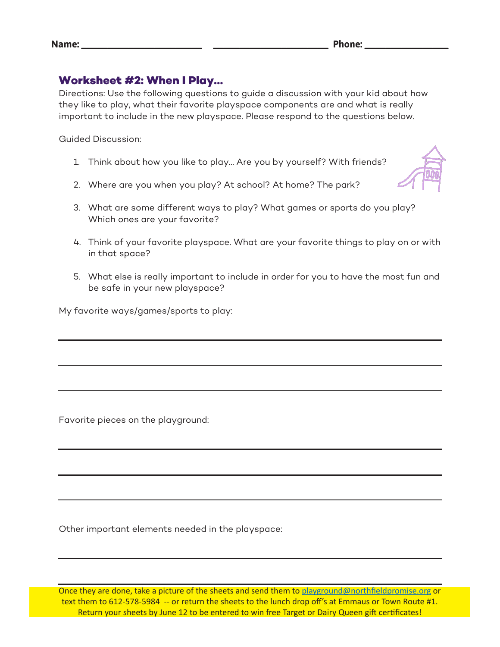## **Worksheet #2: When I Play…**

Directions: Use the following questions to guide a discussion with your kid about how they like to play, what their favorite playspace components are and what is really important to include in the new playspace. Please respond to the questions below.

Guided Discussion:

- 1. Think about how you like to play… Are you by yourself? With friends?
- 2. Where are you when you play? At school? At home? The park?
- 3. What are some different ways to play? What games or sports do you play? Which ones are your favorite?
- 4. Think of your favorite playspace. What are your favorite things to play on or with in that space?
- 5. What else is really important to include in order for you to have the most fun and be safe in your new playspace?

My favorite ways/games/sports to play:

Favorite pieces on the playground:

Other important elements needed in the playspace:

Once they are done, take a picture of the sheets and send them to playground@northfieldpromise.org or text them to 612-578-5984 -- or return the sheets to the lunch drop off's at Emmaus or Town Route #1. Return your sheets by June 12 to be entered to win free Target or Dairy Queen gift certificates!